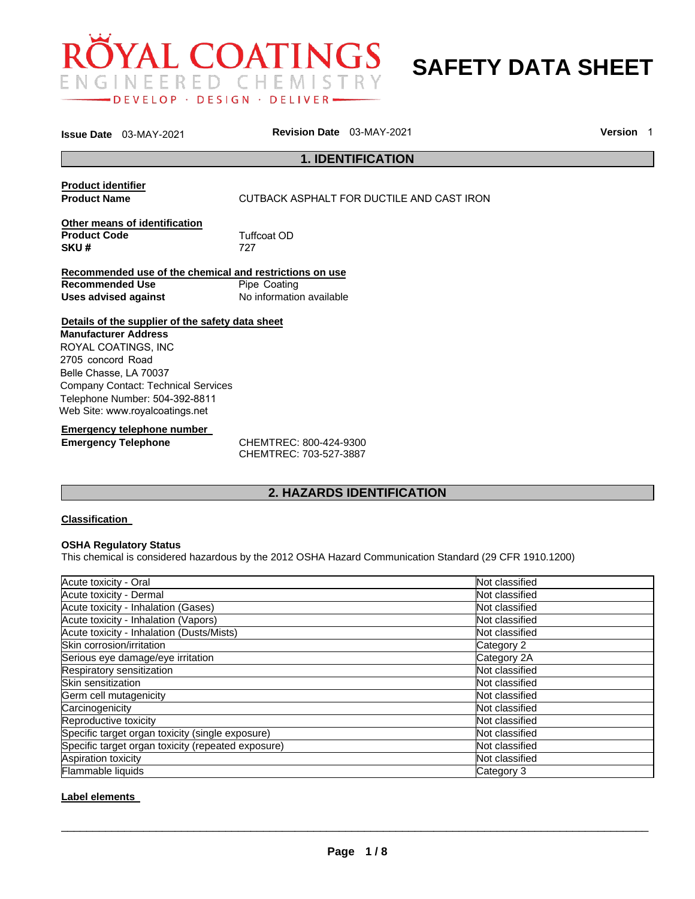

**SAFETY DATA SHEET** 

|                             | <b>Issue Date</b> 03-MAY-2021                    | Revision Date 03-MAY-2021                               |                                           | <b>Version</b> 1 |
|-----------------------------|--------------------------------------------------|---------------------------------------------------------|-------------------------------------------|------------------|
|                             |                                                  |                                                         | <b>1. IDENTIFICATION</b>                  |                  |
| <b>Product identifier</b>   |                                                  |                                                         |                                           |                  |
| <b>Product Name</b>         |                                                  |                                                         | CUTBACK ASPHALT FOR DUCTILE AND CAST IRON |                  |
|                             | Other means of identification                    |                                                         |                                           |                  |
| <b>Product Code</b>         |                                                  | Tuffcoat OD                                             |                                           |                  |
| SKU#                        |                                                  | 727                                                     |                                           |                  |
|                             |                                                  | Recommended use of the chemical and restrictions on use |                                           |                  |
| <b>Recommended Use</b>      |                                                  | Pipe Coating                                            |                                           |                  |
| <b>Uses advised against</b> |                                                  | No information available                                |                                           |                  |
|                             | Details of the supplier of the safety data sheet |                                                         |                                           |                  |
| <b>Manufacturer Address</b> |                                                  |                                                         |                                           |                  |
|                             | ROYAL COATINGS, INC                              |                                                         |                                           |                  |
| 2705 concord Road           |                                                  |                                                         |                                           |                  |
| Belle Chasse, LA 70037      |                                                  |                                                         |                                           |                  |
|                             | <b>Company Contact: Technical Services</b>       |                                                         |                                           |                  |
|                             | Telephone Number: 504-392-8811                   |                                                         |                                           |                  |
|                             | Web Site: www.royalcoatings.net                  |                                                         |                                           |                  |
|                             | Emergency telephone number                       |                                                         |                                           |                  |

**Emergency Telephone** CHEMTREC: 800-424-9300 CHEMTREC: 703-527-3887

# **2. HAZARDS IDENTIFICATION**

#### **Classification**

#### **OSHA Regulatory Status**

This chemical is considered hazardous by the 2012 OSHA Hazard Communication Standard (29 CFR 1910.1200)

| Acute toxicity - Oral                              | Not classified |
|----------------------------------------------------|----------------|
| Acute toxicity - Dermal                            | Not classified |
| Acute toxicity - Inhalation (Gases)                | Not classified |
| Acute toxicity - Inhalation (Vapors)               | Not classified |
| Acute toxicity - Inhalation (Dusts/Mists)          | Not classified |
| Skin corrosion/irritation                          | Category 2     |
| Serious eye damage/eye irritation                  | Category 2A    |
| Respiratory sensitization                          | Not classified |
| Skin sensitization                                 | Not classified |
| Germ cell mutagenicity                             | Not classified |
| Carcinogenicity                                    | Not classified |
| Reproductive toxicity                              | Not classified |
| Specific target organ toxicity (single exposure)   | Not classified |
| Specific target organ toxicity (repeated exposure) | Not classified |
| Aspiration toxicity                                | Not classified |
| Flammable liquids                                  | Category 3     |

#### **Label elements**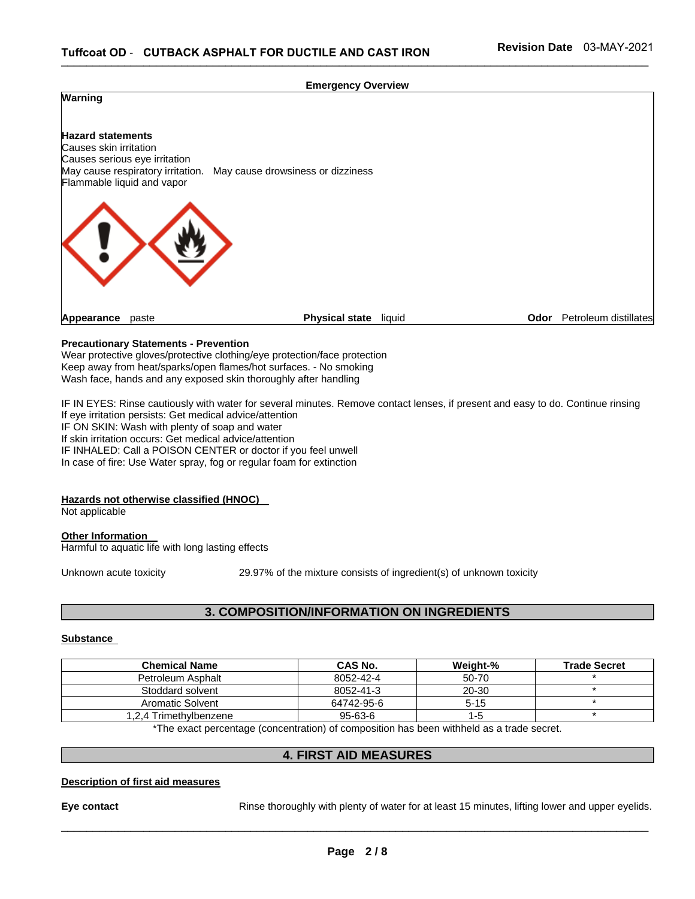#### **Emergency Overview**



#### **Precautionary Statements - Prevention**

Wear protective gloves/protective clothing/eye protection/face protection Keep away from heat/sparks/open flames/hot surfaces. - No smoking Wash face, hands and any exposed skin thoroughly after handling

IF IN EYES: Rinse cautiously with water for several minutes. Remove contact lenses, if present and easy to do. Continue rinsing If eye irritation persists: Get medical advice/attention IF ON SKIN: Wash with plenty of soap and water If skin irritation occurs: Get medical advice/attention IF INHALED: Call a POISON CENTER or doctor if you feel unwell In case of fire: Use Water spray, fog or regular foam for extinction

#### **Hazards not otherwise classified (HNOC)**

Not applicable

#### **Other Information**  Harmful to aquatic life with long lasting effects

Unknown acute toxicity 29.97% of the mixture consists of ingredient(s) of unknown toxicity

# **3. COMPOSITION/INFORMATION ON INGREDIENTS**

#### **Substance**

| <b>Chemical Name</b>   | CAS No.       | Weight-% | <b>Trade Secret</b> |
|------------------------|---------------|----------|---------------------|
| Petroleum Asphalt      | 8052-42-4     | 50-70    |                     |
| Stoddard solvent       | 8052-41-3     | 20-30    |                     |
| Aromatic Solvent       | 64742-95-6    | $5 - 15$ |                     |
| 1.2.4 Trimethylbenzene | $95 - 63 - 6$ | $1 - 5$  |                     |

\*The exact percentage (concentration) of composition has been withheld as a trade secret.

## **4. FIRST AID MEASURES**

#### **Description of first aid measures**

**Eye contact Rinse thoroughly with plenty of water for at least 15 minutes, lifting lower and upper eyelids.**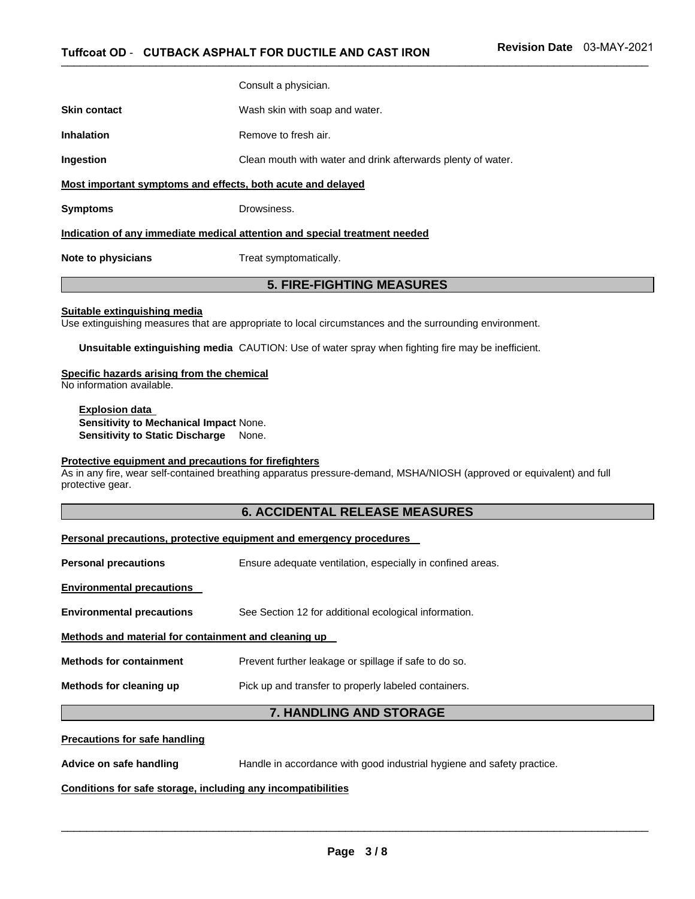|                                                                            | Consult a physician.           |  |  |
|----------------------------------------------------------------------------|--------------------------------|--|--|
| <b>Skin contact</b>                                                        | Wash skin with soap and water. |  |  |
| Inhalation<br>Remove to fresh air.                                         |                                |  |  |
| Clean mouth with water and drink afterwards plenty of water.<br>Ingestion  |                                |  |  |
| Most important symptoms and effects, both acute and delayed                |                                |  |  |
| <b>Symptoms</b>                                                            | Drowsiness.                    |  |  |
| Indication of any immediate medical attention and special treatment needed |                                |  |  |

**Note to physicians Treat symptomatically.** 

# **5. FIRE-FIGHTING MEASURES**

#### **Suitable extinguishing media**

Use extinguishing measures that are appropriate to local circumstances and the surrounding environment.

**Unsuitable extinguishing media** CAUTION: Use of water spray when fighting fire may be inefficient.

#### **Specific hazards arising from the chemical**

No information available.

**Explosion data Sensitivity to Mechanical Impact** None. **Sensitivity to Static Discharge** None.

### **Protective equipment and precautions for firefighters**

As in any fire, wear self-contained breathing apparatus pressure-demand, MSHA/NIOSH (approved or equivalent) and full protective gear.

# **6. ACCIDENTAL RELEASE MEASURES**

| Personal precautions, protective equipment and emergency procedures |                                                            |  |  |  |
|---------------------------------------------------------------------|------------------------------------------------------------|--|--|--|
| <b>Personal precautions</b>                                         | Ensure adequate ventilation, especially in confined areas. |  |  |  |
| <b>Environmental precautions</b>                                    |                                                            |  |  |  |
| <b>Environmental precautions</b>                                    | See Section 12 for additional ecological information.      |  |  |  |
| Methods and material for containment and cleaning up                |                                                            |  |  |  |
| <b>Methods for containment</b>                                      | Prevent further leakage or spillage if safe to do so.      |  |  |  |
| Methods for cleaning up                                             | Pick up and transfer to properly labeled containers.       |  |  |  |
| 7. HANDLING AND STORAGE                                             |                                                            |  |  |  |
| <b>Precautions for safe handling</b>                                |                                                            |  |  |  |
|                                                                     |                                                            |  |  |  |

#### **Precautions for safe handling**

**Advice on safe handling** Handle in accordance with good industrial hygiene and safety practice.

#### **Conditions for safe storage, including any incompatibilities**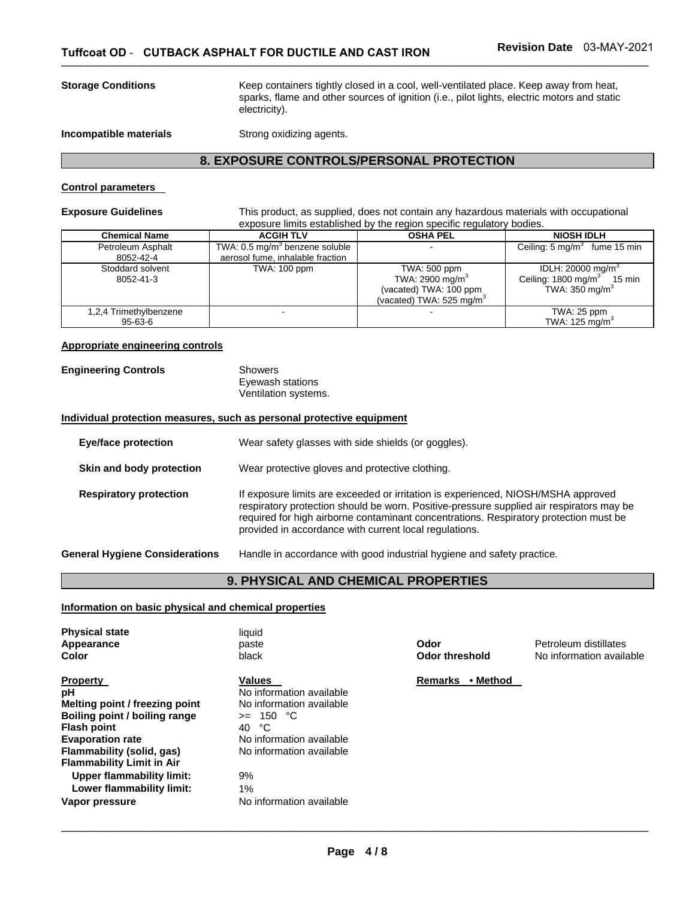**Storage Conditions** Keep containers tightly closed in a cool, well-ventilated place. Keep away from heat, sparks, flame and other sources of ignition (i.e., pilot lights, electric motors and static electricity).

**Incompatible materials Strong oxidizing agents.** 

## **8. EXPOSURE CONTROLS/PERSONAL PROTECTION**

#### **Control parameters**

**Exposure Guidelines** This product, as supplied, does not contain any hazardous materials with occupational exposure limits established by the region specific regulatory bodies.

| <b>Chemical Name</b>              | <b>ACGIH TLV</b>                                                               | <b>OSHA PEL</b>                                                                                               | <b>NIOSH IDLH</b>                                                                                      |
|-----------------------------------|--------------------------------------------------------------------------------|---------------------------------------------------------------------------------------------------------------|--------------------------------------------------------------------------------------------------------|
| Petroleum Asphalt<br>8052-42-4    | TWA: 0.5 mg/m <sup>3</sup> benzene soluble<br>aerosol fume, inhalable fraction |                                                                                                               | Ceiling: $5 \text{ mg/m}^3$ fume 15 min                                                                |
| Stoddard solvent<br>8052-41-3     | TWA: 100 ppm                                                                   | TWA: 500 ppm<br>TWA: 2900 mg/m <sup>3</sup><br>(vacated) TWA: 100 ppm<br>(vacated) TWA: 525 mg/m <sup>3</sup> | IDLH: $20000 \text{ mg/m}^3$<br>Ceiling: 1800 mg/m <sup>3</sup><br>15 min<br>TWA: $350 \text{ mg/m}^3$ |
| 1,2,4 Trimethylbenzene<br>95-63-6 |                                                                                |                                                                                                               | TWA: 25 ppm<br>TWA: 125 mg/m <sup>3</sup>                                                              |

#### **Appropriate engineering controls**

| <b>Engineering Controls</b> | Showers              |  |
|-----------------------------|----------------------|--|
|                             | Eyewash stations     |  |
|                             | Ventilation systems. |  |

#### **Individual protection measures, such as personal protective equipment**

| <b>Eye/face protection</b>            | Wear safety glasses with side shields (or goggles).                                                                                                                                                                                                                                                                              |
|---------------------------------------|----------------------------------------------------------------------------------------------------------------------------------------------------------------------------------------------------------------------------------------------------------------------------------------------------------------------------------|
| Skin and body protection              | Wear protective gloves and protective clothing.                                                                                                                                                                                                                                                                                  |
| <b>Respiratory protection</b>         | If exposure limits are exceeded or irritation is experienced, NIOSH/MSHA approved<br>respiratory protection should be worn. Positive-pressure supplied air respirators may be<br>required for high airborne contaminant concentrations. Respiratory protection must be<br>provided in accordance with current local regulations. |
| <b>General Hygiene Considerations</b> | Handle in accordance with good industrial hygiene and safety practice.                                                                                                                                                                                                                                                           |

# **9. PHYSICAL AND CHEMICAL PROPERTIES**

**Information on basic physical and chemical properties**

| <b>Physical state</b><br>Appearance<br>Color                                                                                                                                                                                                                                           | liquid<br>paste<br>black                                                                                                                                                                          | Odor<br>Odor threshold     | Petroleum distillates<br>No information available |
|----------------------------------------------------------------------------------------------------------------------------------------------------------------------------------------------------------------------------------------------------------------------------------------|---------------------------------------------------------------------------------------------------------------------------------------------------------------------------------------------------|----------------------------|---------------------------------------------------|
| <b>Property</b><br>рH<br>Melting point / freezing point<br>Boiling point / boiling range<br><b>Flash point</b><br><b>Evaporation rate</b><br>Flammability (solid, gas)<br><b>Flammability Limit in Air</b><br>Upper flammability limit:<br>Lower flammability limit:<br>Vapor pressure | <b>Values</b><br>No information available<br>No information available<br>$>= 150 °C$<br>°°C<br>40<br>No information available<br>No information available<br>9%<br>1%<br>No information available | • Method<br><b>Remarks</b> |                                                   |
|                                                                                                                                                                                                                                                                                        |                                                                                                                                                                                                   |                            |                                                   |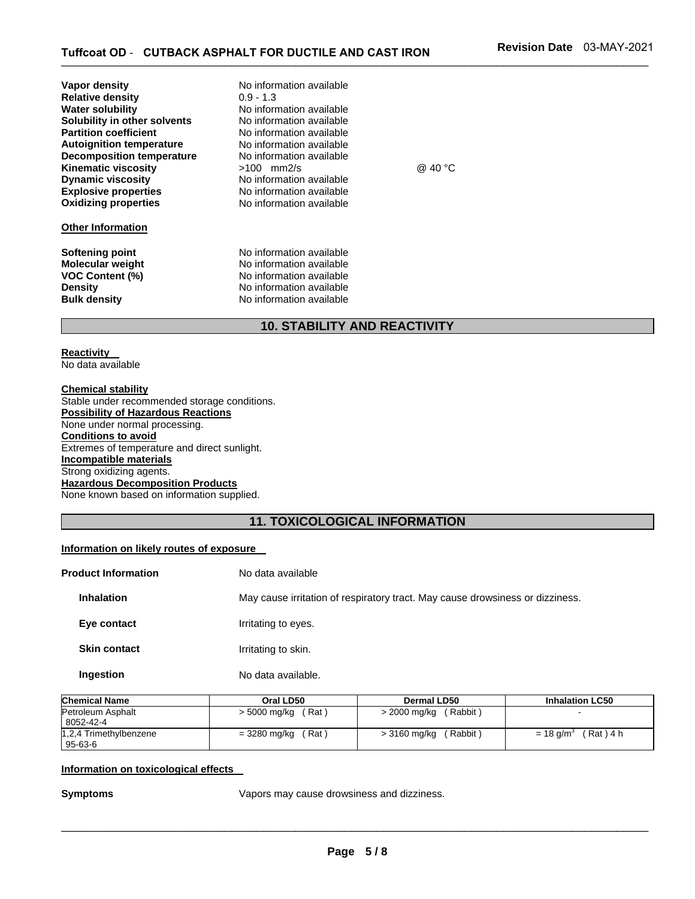| Vapor density<br><b>Relative density</b><br><b>Water solubility</b><br>Solubility in other solvents<br><b>Partition coefficient</b><br><b>Autoignition temperature</b><br><b>Decomposition temperature</b><br><b>Kinematic viscosity</b><br><b>Dynamic viscosity</b><br><b>Explosive properties</b><br><b>Oxidizing properties</b><br><b>Other Information</b> | No information available<br>$0.9 - 1.3$<br>No information available<br>No information available<br>No information available<br>No information available<br>No information available<br>$>100$ mm2/s<br>No information available<br>No information available<br>No information available | @ 40 °C |
|----------------------------------------------------------------------------------------------------------------------------------------------------------------------------------------------------------------------------------------------------------------------------------------------------------------------------------------------------------------|-----------------------------------------------------------------------------------------------------------------------------------------------------------------------------------------------------------------------------------------------------------------------------------------|---------|
| <b>Softening point</b><br><b>Molecular weight</b><br><b>VOC Content (%)</b><br><b>Density</b><br><b>Bulk density</b>                                                                                                                                                                                                                                           | No information available<br>No information available<br>No information available<br>No information available<br>No information available                                                                                                                                                |         |

# **10. STABILITY AND REACTIVITY**

#### **Reactivity**  No data available

**Chemical stability** Stable under recommended storage conditions. **Possibility of Hazardous Reactions** None under normal processing. **Conditions to avoid** Extremes of temperature and direct sunlight. **Incompatible materials** Strong oxidizing agents. **Hazardous Decomposition Products** None known based on information supplied.

# **11. TOXICOLOGICAL INFORMATION**

#### **Information on likely routes of exposure**

| <b>Product Information</b> | No data available                                                             |
|----------------------------|-------------------------------------------------------------------------------|
| <b>Inhalation</b>          | May cause irritation of respiratory tract. May cause drowsiness or dizziness. |
| Eye contact                | Irritating to eyes.                                                           |
| <b>Skin contact</b>        | Irritating to skin.                                                           |
| Ingestion                  | No data available.                                                            |

| <b>Chemical Name</b>   | Oral LD50    | Dermal LD50  | <b>Inhalation LC50</b>  |
|------------------------|--------------|--------------|-------------------------|
| Petroleum Asphalt      | (Rat)        | (Rabbit)     |                         |
| 8052-42-4              | > 5000 mg/kg | > 2000 mg/kg |                         |
| 1,2,4 Trimethylbenzene | (Rat)        | (Rabbit)     | (Rat)4 h                |
| $95 - 63 - 6$          | = 3280 mg/kg | > 3160 mg/kg | $= 18$ g/m <sup>3</sup> |

#### **Information on toxicological effects**

**Symptoms** Vapors may cause drowsiness and dizziness.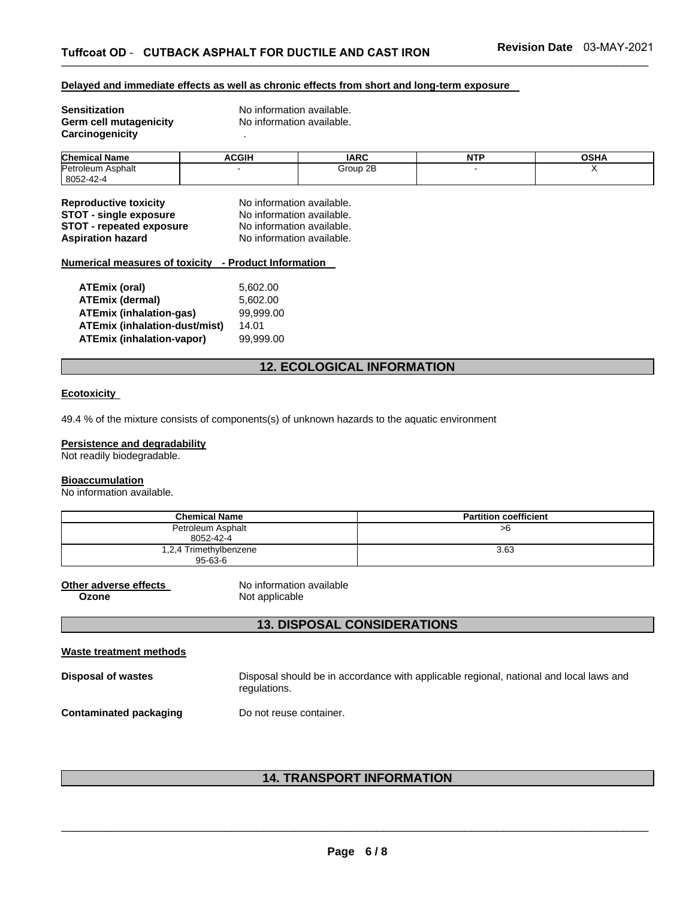#### **Delayed and immediate effects as well as chronic effects from short and long-term exposure**

| <b>Sensitization</b>   | No information available. |
|------------------------|---------------------------|
| Germ cell mutagenicity | No information available. |
| Carcinogenicity        |                           |

| Chem<br>Name<br>nical | <b>ACGIH</b> | IARC          | NTF | ດເ⊔∧<br>אחכט |
|-----------------------|--------------|---------------|-----|--------------|
| Petroleum<br>⊦Asphalt |              | ) 2B<br>Group |     |              |
| 8052-42-4             |              |               |     |              |

| <b>Reproductive toxicity</b>  | No information available. |
|-------------------------------|---------------------------|
| <b>STOT - single exposure</b> | No information available. |
| STOT - repeated exposure      | No information available. |
| Aspiration hazard             | No information available. |

#### **Numerical measures of toxicity - Product Information**

| 5.602.00  |
|-----------|
| 5,602.00  |
| 99,999.00 |
| 14.01     |
| 99.999.00 |
|           |

# **12. ECOLOGICAL INFORMATION**

### **Ecotoxicity**

49.4 % of the mixture consists of components(s) of unknown hazards to the aquatic environment

#### **Persistence and degradability**

Not readily biodegradable.

#### **Bioaccumulation**

No information available.

| <b>Chemical Name</b>                    | <b>Partition coefficient</b> |
|-----------------------------------------|------------------------------|
| Petroleum Asphalt<br>8052-42-4          | >6                           |
| 1,2,4 Trimethylbenzene<br>$95 - 63 - 6$ | 3.63                         |

**Other adverse effects** No information available Not applicable

# **13. DISPOSAL CONSIDERATIONS**

| Waste treatment methods |                                                                                                        |
|-------------------------|--------------------------------------------------------------------------------------------------------|
| Disposal of wastes      | Disposal should be in accordance with applicable regional, national and local laws and<br>regulations. |
| Contaminated packaging  | Do not reuse container.                                                                                |

## **14. TRANSPORT INFORMATION**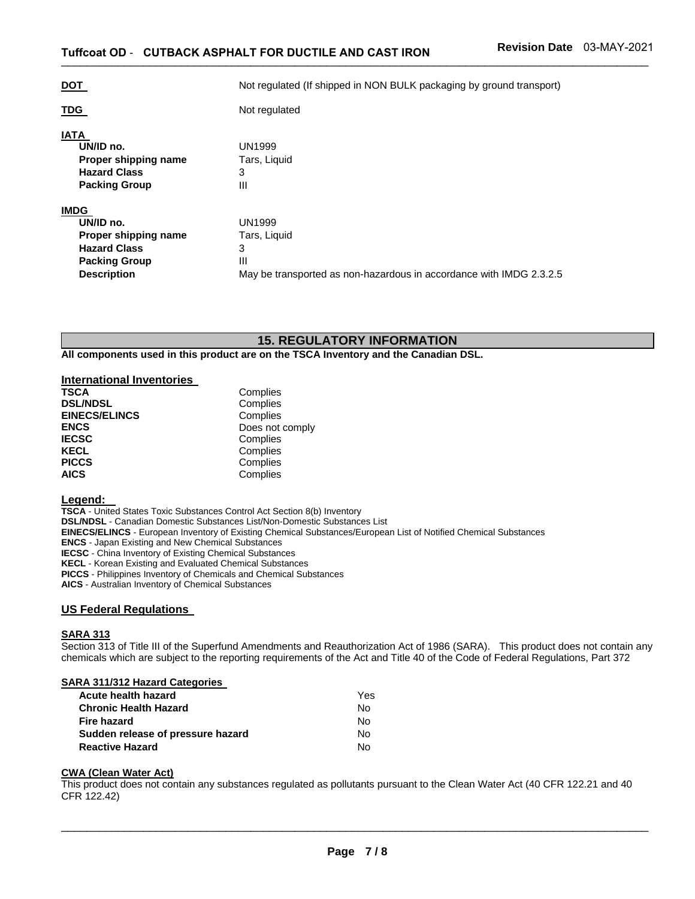| <b>DOT</b>                                                                                                            | Not regulated (If shipped in NON BULK packaging by ground transport)                                           |
|-----------------------------------------------------------------------------------------------------------------------|----------------------------------------------------------------------------------------------------------------|
| TDG                                                                                                                   | Not regulated                                                                                                  |
| <b>IATA</b><br>UN/ID no.<br>Proper shipping name<br><b>Hazard Class</b><br><b>Packing Group</b>                       | UN1999<br>Tars, Liquid<br>3<br>Ш                                                                               |
| <b>IMDG</b><br>UN/ID no.<br>Proper shipping name<br><b>Hazard Class</b><br><b>Packing Group</b><br><b>Description</b> | <b>UN1999</b><br>Tars, Liquid<br>3<br>Ш<br>May be transported as non-hazardous in accordance with IMDG 2.3.2.5 |

## **15. REGULATORY INFORMATION**

**All components used in this product are on the TSCA Inventory and the Canadian DSL.** 

#### **International Inventories**

| <b>TSCA</b>          | Complies        |
|----------------------|-----------------|
| <b>DSL/NDSL</b>      | Complies        |
| <b>EINECS/ELINCS</b> | Complies        |
| <b>ENCS</b>          | Does not comply |
| <b>IECSC</b>         | Complies        |
| <b>KECL</b>          | Complies        |
| <b>PICCS</b>         | Complies        |
| <b>AICS</b>          | Complies        |

#### **Legend:**

**TSCA** - United States Toxic Substances Control Act Section 8(b) Inventory **DSL/NDSL** - Canadian Domestic Substances List/Non-Domestic Substances List **EINECS/ELINCS** - European Inventory of Existing Chemical Substances/European List of Notified Chemical Substances **ENCS** - Japan Existing and New Chemical Substances **IECSC** - China Inventory of Existing Chemical Substances **KECL** - Korean Existing and Evaluated Chemical Substances **PICCS** - Philippines Inventory of Chemicals and Chemical Substances **AICS** - Australian Inventory of Chemical Substances

#### **US Federal Regulations**

#### **SARA 313**

Section 313 of Title III of the Superfund Amendments and Reauthorization Act of 1986 (SARA). This product does not contain any chemicals which are subject to the reporting requirements of the Act and Title 40 of the Code of Federal Regulations, Part 372

#### **SARA 311/312 Hazard Categories**

| Yes |
|-----|
| No. |
| No. |
| No. |
| N٥  |
|     |

#### **CWA (Clean Water Act)**

This product does not contain any substances regulated as pollutants pursuant to the Clean Water Act (40 CFR 122.21 and 40 CFR 122.42)